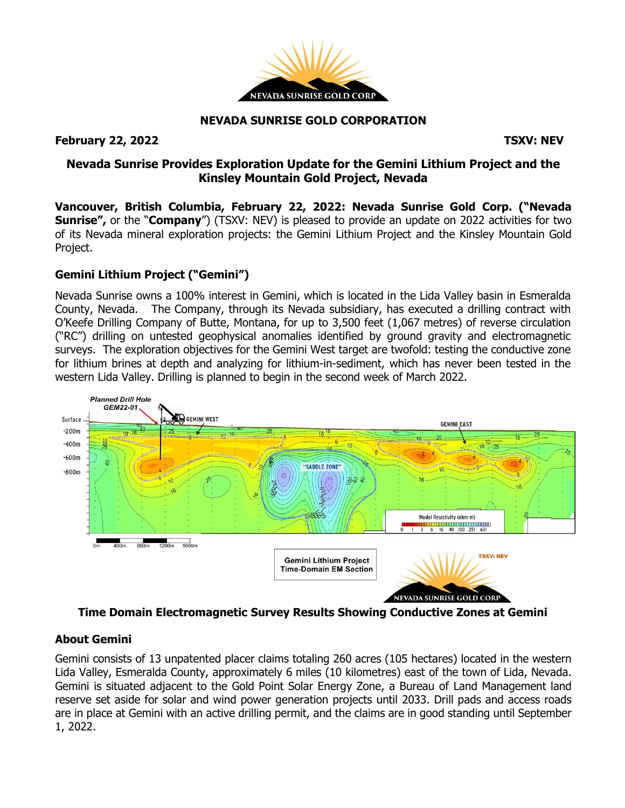

#### **NEVADA SUNRISE GOLD CORPORATION**

## **February 22, 2022 TSXV: NEV**

# **Nevada Sunrise Provides Exploration Update for the Gemini Lithium Project and the Kinsley Mountain Gold Project, Nevada**

**Vancouver, British Columbia, February 22, 2022: Nevada Sunrise Gold Corp. ("Nevada Sunrise",** or the "**Company**") (TSXV: NEV) is pleased to provide an update on 2022 activities for two of its Nevada mineral exploration projects: the Gemini Lithium Project and the Kinsley Mountain Gold Project.

## **Gemini Lithium Project ("Gemini")**

Nevada Sunrise owns a 100% interest in Gemini, which is located in the Lida Valley basin in Esmeralda County, Nevada. The Company, through its Nevada subsidiary, has executed a drilling contract with O'Keefe Drilling Company of Butte, Montana, for up to 3,500 feet (1,067 metres) of reverse circulation ("RC") drilling on untested geophysical anomalies identified by ground gravity and electromagnetic surveys. The exploration objectives for the Gemini West target are twofold: testing the conductive zone for lithium brines at depth and analyzing for lithium-in-sediment, which has never been tested in the western Lida Valley. Drilling is planned to begin in the second week of March 2022.



**Time Domain Electromagnetic Survey Results Showing Conductive Zones at Gemini**

## **About Gemini**

Gemini consists of 13 unpatented placer claims totaling 260 acres (105 hectares) located in the western Lida Valley, Esmeralda County, approximately 6 miles (10 kilometres) east of the town of Lida, Nevada. Gemini is situated adjacent to the Gold Point Solar Energy Zone, a Bureau of Land Management land reserve set aside for solar and wind power generation projects until 2033. Drill pads and access roads are in place at Gemini with an active drilling permit, and the claims are in good standing until September 1, 2022.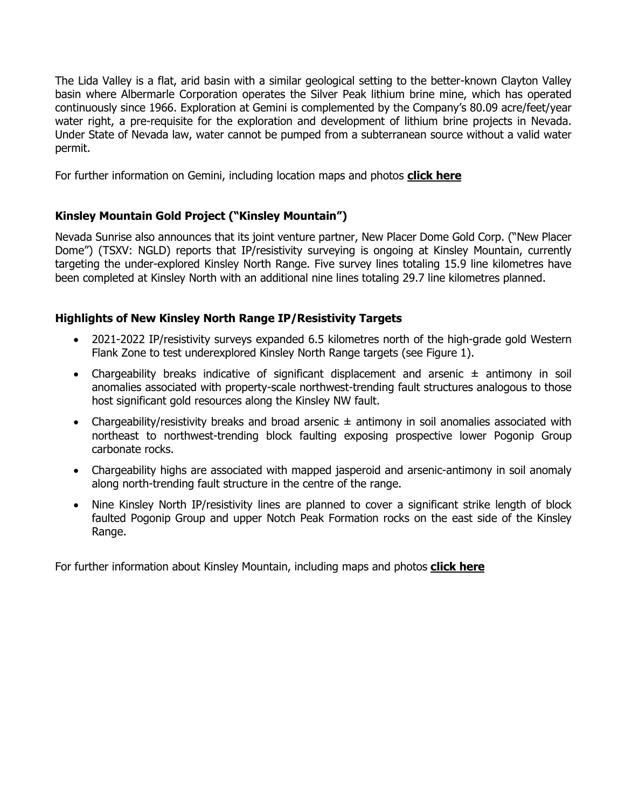The Lida Valley is a flat, arid basin with a similar geological setting to the better-known Clayton Valley basin where Albermarle Corporation operates the Silver Peak lithium brine mine, which has operated continuously since 1966. Exploration at Gemini is complemented by the Company's 80.09 acre/feet/year water right, a pre-requisite for the exploration and development of lithium brine projects in Nevada. Under State of Nevada law, water cannot be pumped from a subterranean source without a valid water permit.

For further information on Gemini, including location maps and photos **click [here](https://www.nevadasunrise.ca/projects/nevadalithium/)**

# **Kinsley Mountain Gold Project ("Kinsley Mountain")**

Nevada Sunrise also announces that its joint venture partner, New Placer Dome Gold Corp. ("New Placer Dome") (TSXV: NGLD) reports that IP/resistivity surveying is ongoing at Kinsley Mountain, currently targeting the under-explored Kinsley North Range. Five survey lines totaling 15.9 line kilometres have been completed at Kinsley North with an additional nine lines totaling 29.7 line kilometres planned.

## **Highlights of New Kinsley North Range IP/Resistivity Targets**

- 2021-2022 IP/resistivity surveys expanded 6.5 kilometres north of the high-grade gold Western Flank Zone to test underexplored Kinsley North Range targets (see Figure 1).
- Chargeability breaks indicative of significant displacement and arsenic  $\pm$  antimony in soil anomalies associated with property-scale northwest-trending fault structures analogous to those host significant gold resources along the Kinsley NW fault.
- Chargeability/resistivity breaks and broad arsenic  $\pm$  antimony in soil anomalies associated with northeast to northwest-trending block faulting exposing prospective lower Pogonip Group carbonate rocks.
- Chargeability highs are associated with mapped jasperoid and arsenic-antimony in soil anomaly along north-trending fault structure in the centre of the range.
- Nine Kinsley North IP/resistivity lines are planned to cover a significant strike length of block faulted Pogonip Group and upper Notch Peak Formation rocks on the east side of the Kinsley Range.

For further information about Kinsley Mountain, including maps and photos **[click](https://www.nevadasunrise.ca/projects/kinsley-mountain/) here**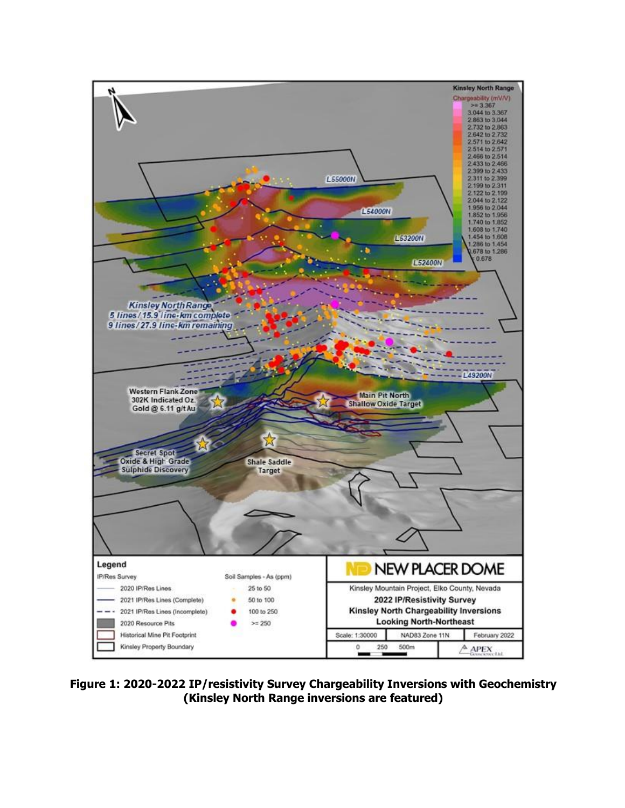

**Figure 1: 2020-2022 IP/resistivity Survey Chargeability Inversions with Geochemistry (Kinsley North Range inversions are featured)**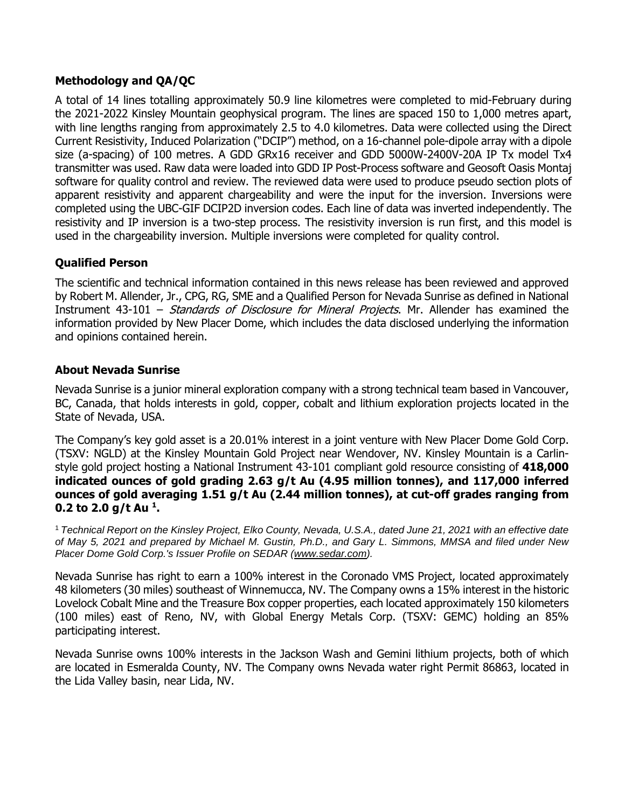## **Methodology and QA/QC**

A total of 14 lines totalling approximately 50.9 line kilometres were completed to mid-February during the 2021-2022 Kinsley Mountain geophysical program. The lines are spaced 150 to 1,000 metres apart, with line lengths ranging from approximately 2.5 to 4.0 kilometres. Data were collected using the Direct Current Resistivity, Induced Polarization ("DCIP") method, on a 16-channel pole-dipole array with a dipole size (a-spacing) of 100 metres. A GDD GRx16 receiver and GDD 5000W-2400V-20A IP Tx model Tx4 transmitter was used. Raw data were loaded into GDD IP Post-Process software and Geosoft Oasis Montaj software for quality control and review. The reviewed data were used to produce pseudo section plots of apparent resistivity and apparent chargeability and were the input for the inversion. Inversions were completed using the UBC-GIF DCIP2D inversion codes. Each line of data was inverted independently. The resistivity and IP inversion is a two-step process. The resistivity inversion is run first, and this model is used in the chargeability inversion. Multiple inversions were completed for quality control.

## **Qualified Person**

The scientific and technical information contained in this news release has been reviewed and approved by Robert M. Allender, Jr., CPG, RG, SME and a Qualified Person for Nevada Sunrise as defined in National Instrument 43-101 – *Standards of Disclosure for Mineral Projects*. Mr. Allender has examined the information provided by New Placer Dome, which includes the data disclosed underlying the information and opinions contained herein.

#### **About Nevada Sunrise**

Nevada Sunrise is a junior mineral exploration company with a strong technical team based in Vancouver, BC, Canada, that holds interests in gold, copper, cobalt and lithium exploration projects located in the State of Nevada, USA.

The Company's key gold asset is a 20.01% interest in a joint venture with New Placer Dome Gold Corp. (TSXV: NGLD) at the Kinsley Mountain Gold Project near Wendover, NV. Kinsley Mountain is a Carlinstyle gold project hosting a National Instrument 43-101 compliant gold resource consisting of **418,000 indicated ounces of gold grading 2.63 g/t Au (4.95 million tonnes), and 117,000 inferred ounces of gold averaging 1.51 g/t Au (2.44 million tonnes), at cut-off grades ranging from 0.2 to 2.0 g/t Au <sup>1</sup> .**

<sup>1</sup> Technical Report on the Kinsley Project, Elko County, Nevada, U.S.A., dated June 21, 2021 with an effective date of May 5, 2021 and prepared by Michael M. Gustin, Ph.D., and Gary L. Simmons, MMSA and filed under New *Placer Dome Gold Corp.'s Issuer Profile on SEDAR [\(www.sedar.com\)](https://c212.net/c/link/?t=0&l=en&o=3232825-1&h=4288497972&u=http%3A%2F%2Fwww.sedar.com%2F&a=www.sedar.com).*

Nevada Sunrise has right to earn a 100% interest in the Coronado VMS Project, located approximately 48 kilometers (30 miles) southeast of Winnemucca, NV. The Company owns a 15% interest in the historic Lovelock Cobalt Mine and the Treasure Box copper properties, each located approximately 150 kilometers (100 miles) east of Reno, NV, with Global Energy Metals Corp. (TSXV: GEMC) holding an 85% participating interest.

Nevada Sunrise owns 100% interests in the Jackson Wash and Gemini lithium projects, both of which are located in Esmeralda County, NV. The Company owns Nevada water right Permit 86863, located in the Lida Valley basin, near Lida, NV.